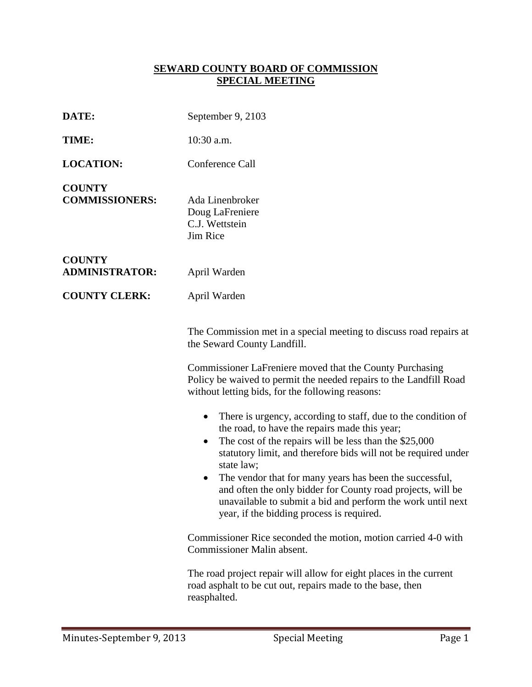## **SEWARD COUNTY BOARD OF COMMISSION SPECIAL MEETING**

| DATE:                                  | September 9, 2103                                                                                                                                                                                                                                                                                                                                                                                                                                                                                                                                                                                                                                                                                                                                                      |
|----------------------------------------|------------------------------------------------------------------------------------------------------------------------------------------------------------------------------------------------------------------------------------------------------------------------------------------------------------------------------------------------------------------------------------------------------------------------------------------------------------------------------------------------------------------------------------------------------------------------------------------------------------------------------------------------------------------------------------------------------------------------------------------------------------------------|
| TIME:                                  | $10:30$ a.m.                                                                                                                                                                                                                                                                                                                                                                                                                                                                                                                                                                                                                                                                                                                                                           |
| <b>LOCATION:</b>                       | Conference Call                                                                                                                                                                                                                                                                                                                                                                                                                                                                                                                                                                                                                                                                                                                                                        |
| <b>COUNTY</b><br><b>COMMISSIONERS:</b> | Ada Linenbroker<br>Doug LaFreniere<br>C.J. Wettstein<br>Jim Rice                                                                                                                                                                                                                                                                                                                                                                                                                                                                                                                                                                                                                                                                                                       |
| <b>COUNTY</b><br><b>ADMINISTRATOR:</b> | April Warden                                                                                                                                                                                                                                                                                                                                                                                                                                                                                                                                                                                                                                                                                                                                                           |
| <b>COUNTY CLERK:</b>                   | April Warden                                                                                                                                                                                                                                                                                                                                                                                                                                                                                                                                                                                                                                                                                                                                                           |
|                                        | The Commission met in a special meeting to discuss road repairs at<br>the Seward County Landfill.<br>Commissioner LaFreniere moved that the County Purchasing<br>Policy be waived to permit the needed repairs to the Landfill Road<br>without letting bids, for the following reasons:<br>There is urgency, according to staff, due to the condition of<br>$\bullet$<br>the road, to have the repairs made this year;<br>The cost of the repairs will be less than the \$25,000<br>$\bullet$<br>statutory limit, and therefore bids will not be required under<br>state law;<br>The vendor that for many years has been the successful,<br>and often the only bidder for County road projects, will be<br>unavailable to submit a bid and perform the work until next |
|                                        | year, if the bidding process is required.<br>Commissioner Rice seconded the motion, motion carried 4-0 with<br>Commissioner Malin absent.<br>The road project repair will allow for eight places in the current<br>road asphalt to be cut out, repairs made to the base, then<br>reasphalted.                                                                                                                                                                                                                                                                                                                                                                                                                                                                          |